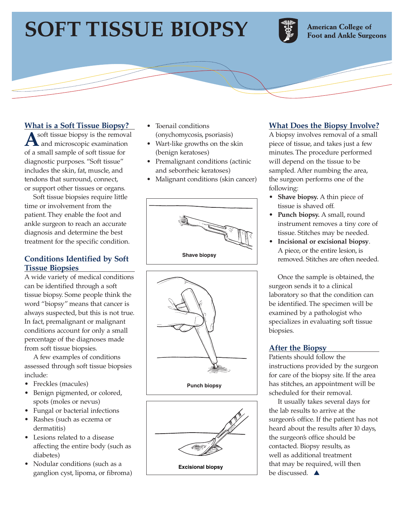# **SOFT TISSUE BIOPSY**



**American College of Foot and Ankle Surgeons** 

## **What is a Soft Tissue Biopsy?**

**A**soft tissue biopsy is the removal and microscopic examination of a small sample of soft tissue for diagnostic purposes. "Soft tissue" includes the skin, fat, muscle, and tendons that surround, connect, or support other tissues or organs.

Soft tissue biopsies require little time or involvement from the patient. They enable the foot and ankle surgeon to reach an accurate diagnosis and determine the best treatment for the specific condition.

#### **Conditions Identified by Soft Tissue Biopsies**

A wide variety of medical conditions can be identified through a soft tissue biopsy. Some people think the word "biopsy" means that cancer is always suspected, but this is not true. In fact, premalignant or malignant conditions account for only a small percentage of the diagnoses made from soft tissue biopsies.

A few examples of conditions assessed through soft tissue biopsies include:

- Freckles (macules)
- Benign pigmented, or colored, spots (moles or nevus)
- Fungal or bacterial infections
- Rashes (such as eczema or dermatitis)
- Lesions related to a disease affecting the entire body (such as diabetes)
- Nodular conditions (such as a ganglion cyst, lipoma, or fibroma)
- Toenail conditions (onychomycosis, psoriasis)
- Wart-like growths on the skin (benign keratoses)
- Premalignant conditions (actinic and seborrheic keratoses)
- Malignant conditions (skin cancer)







# **What Does the Biopsy Involve?**

A biopsy involves removal of a small piece of tissue, and takes just a few minutes. The procedure performed will depend on the tissue to be sampled. After numbing the area, the surgeon performs one of the following:

- **Shave biopsy.** A thin piece of tissue is shaved off.
- **Punch biopsy.** A small, round instrument removes a tiny core of tissue. Stitches may be needed.
- **Incisional or excisional biopsy**. A piece, or the entire lesion, is removed. Stitches are often needed.

Once the sample is obtained, the surgeon sends it to a clinical laboratory so that the condition can be identified. The specimen will be examined by a pathologist who specializes in evaluating soft tissue biopsies.

## **After the Biopsy**

Patients should follow the instructions provided by the surgeon for care of the biopsy site. If the area has stitches, an appointment will be scheduled for their removal.

It usually takes several days for the lab results to arrive at the surgeon's office. If the patient has not heard about the results after 10 days, the surgeon's office should be contacted. Biopsy results, as well as additional treatment that may be required, will then be discussed. **▲**